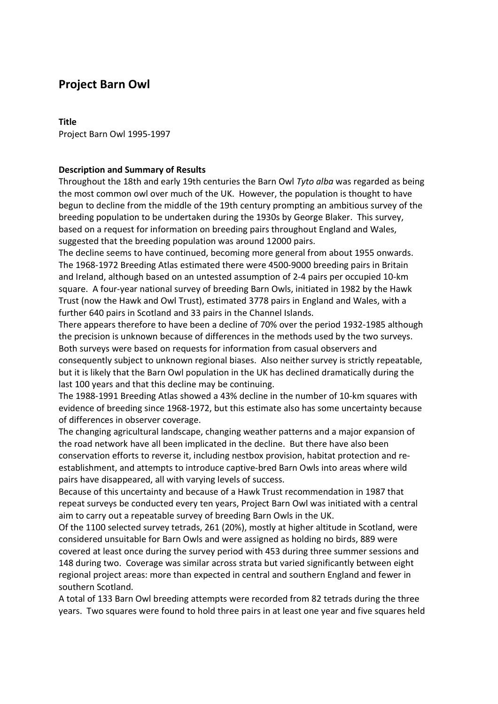# **Project Barn Owl**

## **Title**

Project Barn Owl 1995-1997

# **Description and Summary of Results**

Throughout the 18th and early 19th centuries the Barn Owl *Tyto alba* was regarded as being the most common owl over much of the UK. However, the population is thought to have begun to decline from the middle of the 19th century prompting an ambitious survey of the breeding population to be undertaken during the 1930s by George Blaker. This survey, based on a request for information on breeding pairs throughout England and Wales, suggested that the breeding population was around 12000 pairs.

The decline seems to have continued, becoming more general from about 1955 onwards. The 1968-1972 Breeding Atlas estimated there were 4500-9000 breeding pairs in Britain and Ireland, although based on an untested assumption of 2-4 pairs per occupied 10-km square. A four-year national survey of breeding Barn Owls, initiated in 1982 by the Hawk Trust (now the Hawk and Owl Trust), estimated 3778 pairs in England and Wales, with a further 640 pairs in Scotland and 33 pairs in the Channel Islands.

There appears therefore to have been a decline of 70% over the period 1932-1985 although the precision is unknown because of differences in the methods used by the two surveys. Both surveys were based on requests for information from casual observers and consequently subject to unknown regional biases. Also neither survey is strictly repeatable, but it is likely that the Barn Owl population in the UK has declined dramatically during the last 100 years and that this decline may be continuing.

The 1988-1991 Breeding Atlas showed a 43% decline in the number of 10-km squares with evidence of breeding since 1968-1972, but this estimate also has some uncertainty because of differences in observer coverage.

The changing agricultural landscape, changing weather patterns and a major expansion of the road network have all been implicated in the decline. But there have also been conservation efforts to reverse it, including nestbox provision, habitat protection and reestablishment, and attempts to introduce captive-bred Barn Owls into areas where wild pairs have disappeared, all with varying levels of success.

Because of this uncertainty and because of a Hawk Trust recommendation in 1987 that repeat surveys be conducted every ten years, Project Barn Owl was initiated with a central aim to carry out a repeatable survey of breeding Barn Owls in the UK.

Of the 1100 selected survey tetrads, 261 (20%), mostly at higher altitude in Scotland, were considered unsuitable for Barn Owls and were assigned as holding no birds, 889 were covered at least once during the survey period with 453 during three summer sessions and 148 during two. Coverage was similar across strata but varied significantly between eight regional project areas: more than expected in central and southern England and fewer in southern Scotland.

A total of 133 Barn Owl breeding attempts were recorded from 82 tetrads during the three years. Two squares were found to hold three pairs in at least one year and five squares held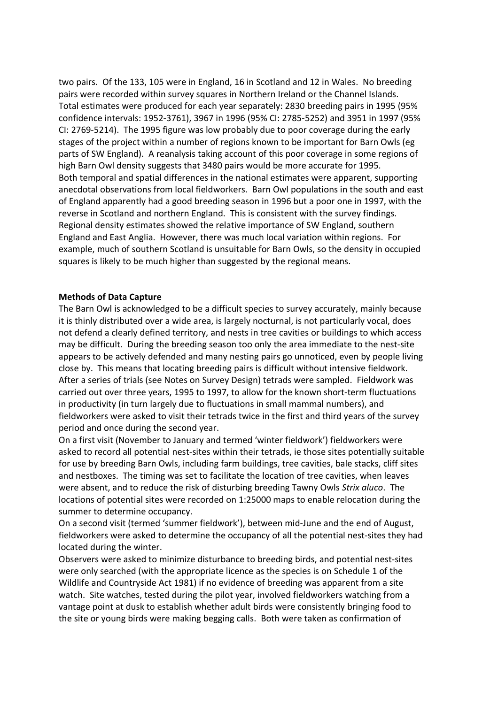two pairs. Of the 133, 105 were in England, 16 in Scotland and 12 in Wales. No breeding pairs were recorded within survey squares in Northern Ireland or the Channel Islands. Total estimates were produced for each year separately: 2830 breeding pairs in 1995 (95% confidence intervals: 1952-3761), 3967 in 1996 (95% CI: 2785-5252) and 3951 in 1997 (95% CI: 2769-5214).The 1995 figure was low probably due to poor coverage during the early stages of the project within a number of regions known to be important for Barn Owls (eg parts of SW England). A reanalysis taking account of this poor coverage in some regions of high Barn Owl density suggests that 3480 pairs would be more accurate for 1995. Both temporal and spatial differences in the national estimates were apparent, supporting anecdotal observations from local fieldworkers. Barn Owl populations in the south and east of England apparently had a good breeding season in 1996 but a poor one in 1997, with the reverse in Scotland and northern England. This is consistent with the survey findings. Regional density estimates showed the relative importance of SW England, southern England and East Anglia. However, there was much local variation within regions. For example, much of southern Scotland is unsuitable for Barn Owls, so the density in occupied squares is likely to be much higher than suggested by the regional means.

## **Methods of Data Capture**

The Barn Owl is acknowledged to be a difficult species to survey accurately, mainly because it is thinly distributed over a wide area, is largely nocturnal, is not particularly vocal, does not defend a clearly defined territory, and nests in tree cavities or buildings to which access may be difficult. During the breeding season too only the area immediate to the nest-site appears to be actively defended and many nesting pairs go unnoticed, even by people living close by. This means that locating breeding pairs is difficult without intensive fieldwork. After a series of trials (see Notes on Survey Design) tetrads were sampled. Fieldwork was carried out over three years, 1995 to 1997, to allow for the known short-term fluctuations in productivity (in turn largely due to fluctuations in small mammal numbers), and fieldworkers were asked to visit their tetrads twice in the first and third years of the survey period and once during the second year.

On a first visit (November to January and termed 'winter fieldwork') fieldworkers were asked to record all potential nest-sites within their tetrads, ie those sites potentially suitable for use by breeding Barn Owls, including farm buildings, tree cavities, bale stacks, cliff sites and nestboxes. The timing was set to facilitate the location of tree cavities, when leaves were absent, and to reduce the risk of disturbing breeding Tawny Owls *Strix aluco*. The locations of potential sites were recorded on 1:25000 maps to enable relocation during the summer to determine occupancy.

On a second visit (termed 'summer fieldwork'), between mid-June and the end of August, fieldworkers were asked to determine the occupancy of all the potential nest-sites they had located during the winter.

Observers were asked to minimize disturbance to breeding birds, and potential nest-sites were only searched (with the appropriate licence as the species is on Schedule 1 of the Wildlife and Countryside Act 1981) if no evidence of breeding was apparent from a site watch. Site watches, tested during the pilot year, involved fieldworkers watching from a vantage point at dusk to establish whether adult birds were consistently bringing food to the site or young birds were making begging calls. Both were taken as confirmation of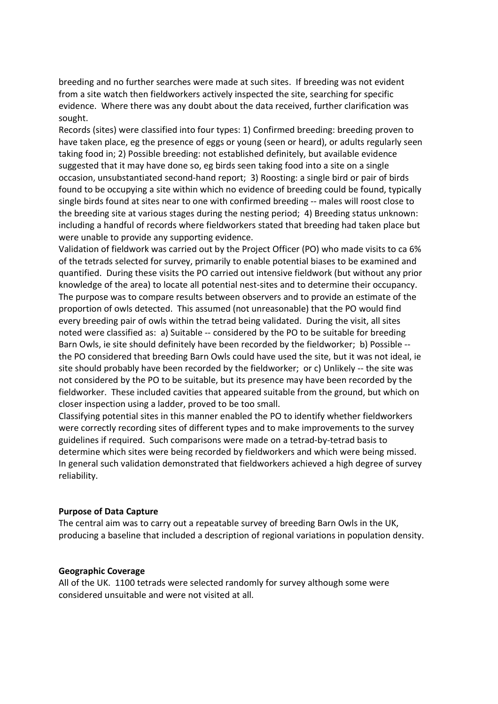breeding and no further searches were made at such sites. If breeding was not evident from a site watch then fieldworkers actively inspected the site, searching for specific evidence. Where there was any doubt about the data received, further clarification was sought.

Records (sites) were classified into four types: 1) Confirmed breeding: breeding proven to have taken place, eg the presence of eggs or young (seen or heard), or adults regularly seen taking food in; 2) Possible breeding: not established definitely, but available evidence suggested that it may have done so, eg birds seen taking food into a site on a single occasion, unsubstantiated second-hand report; 3) Roosting: a single bird or pair of birds found to be occupying a site within which no evidence of breeding could be found, typically single birds found at sites near to one with confirmed breeding -- males will roost close to the breeding site at various stages during the nesting period; 4) Breeding status unknown: including a handful of records where fieldworkers stated that breeding had taken place but were unable to provide any supporting evidence.

Validation of fieldwork was carried out by the Project Officer (PO) who made visits to ca 6% of the tetrads selected for survey, primarily to enable potential biases to be examined and quantified. During these visits the PO carried out intensive fieldwork (but without any prior knowledge of the area) to locate all potential nest-sites and to determine their occupancy. The purpose was to compare results between observers and to provide an estimate of the proportion of owls detected. This assumed (not unreasonable) that the PO would find every breeding pair of owls within the tetrad being validated. During the visit, all sites noted were classified as: a) Suitable -- considered by the PO to be suitable for breeding Barn Owls, ie site should definitely have been recorded by the fieldworker; b) Possible - the PO considered that breeding Barn Owls could have used the site, but it was not ideal, ie site should probably have been recorded by the fieldworker; or c) Unlikely -- the site was not considered by the PO to be suitable, but its presence may have been recorded by the fieldworker. These included cavities that appeared suitable from the ground, but which on closer inspection using a ladder, proved to be too small.

Classifying potential sites in this manner enabled the PO to identify whether fieldworkers were correctly recording sites of different types and to make improvements to the survey guidelines if required. Such comparisons were made on a tetrad-by-tetrad basis to determine which sites were being recorded by fieldworkers and which were being missed. In general such validation demonstrated that fieldworkers achieved a high degree of survey reliability.

#### **Purpose of Data Capture**

The central aim was to carry out a repeatable survey of breeding Barn Owls in the UK, producing a baseline that included a description of regional variations in population density.

#### **Geographic Coverage**

All of the UK. 1100 tetrads were selected randomly for survey although some were considered unsuitable and were not visited at all.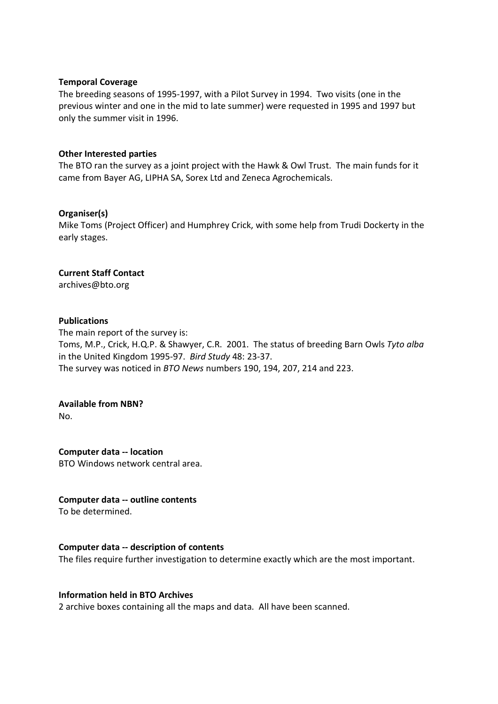#### **Temporal Coverage**

The breeding seasons of 1995-1997, with a Pilot Survey in 1994. Two visits (one in the previous winter and one in the mid to late summer) were requested in 1995 and 1997 but only the summer visit in 1996.

# **Other Interested parties**

The BTO ran the survey as a joint project with the Hawk & Owl Trust. The main funds for it came from Bayer AG, LIPHA SA, Sorex Ltd and Zeneca Agrochemicals.

## **Organiser(s)**

Mike Toms (Project Officer) and Humphrey Crick, with some help from Trudi Dockerty in the early stages.

## **Current Staff Contact**

archives@bto.org

## **Publications**

The main report of the survey is: Toms, M.P., Crick, H.Q.P. & Shawyer, C.R. 2001. The status of breeding Barn Owls *Tyto alba*  in the United Kingdom 1995-97. *Bird Study* 48: 23-37. The survey was noticed in *BTO News* numbers 190, 194, 207, 214 and 223.

#### **Available from NBN?**

No.

**Computer data -- location** BTO Windows network central area.

# **Computer data -- outline contents**

To be determined.

# **Computer data -- description of contents**

The files require further investigation to determine exactly which are the most important.

#### **Information held in BTO Archives**

2 archive boxes containing all the maps and data. All have been scanned.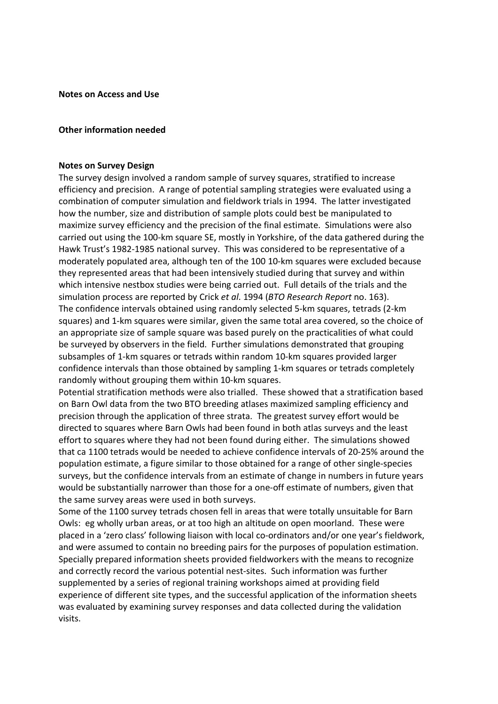**Notes on Access and Use**

#### **Other information needed**

#### **Notes on Survey Design**

The survey design involved a random sample of survey squares, stratified to increase efficiency and precision. A range of potential sampling strategies were evaluated using a combination of computer simulation and fieldwork trials in 1994. The latter investigated how the number, size and distribution of sample plots could best be manipulated to maximize survey efficiency and the precision of the final estimate. Simulations were also carried out using the 100-km square SE, mostly in Yorkshire, of the data gathered during the Hawk Trust's 1982-1985 national survey. This was considered to be representative of a moderately populated area, although ten of the 100 10-km squares were excluded because they represented areas that had been intensively studied during that survey and within which intensive nestbox studies were being carried out. Full details of the trials and the simulation process are reported by Crick *et al*. 1994 (*BTO Research Report* no. 163). The confidence intervals obtained using randomly selected 5-km squares, tetrads (2-km squares) and 1-km squares were similar, given the same total area covered, so the choice of an appropriate size of sample square was based purely on the practicalities of what could be surveyed by observers in the field. Further simulations demonstrated that grouping subsamples of 1-km squares or tetrads within random 10-km squares provided larger confidence intervals than those obtained by sampling 1-km squares or tetrads completely randomly without grouping them within 10-km squares.

Potential stratification methods were also trialled. These showed that a stratification based on Barn Owl data from the two BTO breeding atlases maximized sampling efficiency and precision through the application of three strata. The greatest survey effort would be directed to squares where Barn Owls had been found in both atlas surveys and the least effort to squares where they had not been found during either. The simulations showed that ca 1100 tetrads would be needed to achieve confidence intervals of 20-25% around the population estimate, a figure similar to those obtained for a range of other single-species surveys, but the confidence intervals from an estimate of change in numbers in future years would be substantially narrower than those for a one-off estimate of numbers, given that the same survey areas were used in both surveys.

Some of the 1100 survey tetrads chosen fell in areas that were totally unsuitable for Barn Owls: eg wholly urban areas, or at too high an altitude on open moorland. These were placed in a 'zero class' following liaison with local co-ordinators and/or one year's fieldwork, and were assumed to contain no breeding pairs for the purposes of population estimation. Specially prepared information sheets provided fieldworkers with the means to recognize and correctly record the various potential nest-sites. Such information was further supplemented by a series of regional training workshops aimed at providing field experience of different site types, and the successful application of the information sheets was evaluated by examining survey responses and data collected during the validation visits.